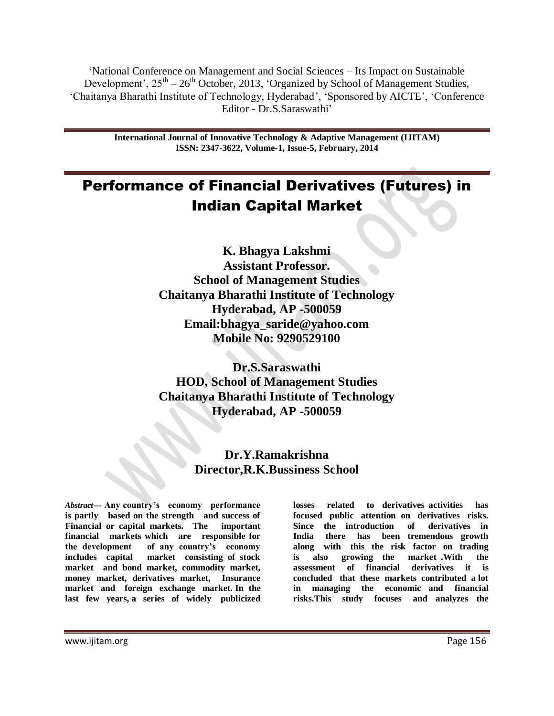"National Conference on Management and Social Sciences – Its Impact on Sustainable Development',  $25<sup>th</sup> - 26<sup>th</sup>$  October, 2013, 'Organized by School of Management Studies, "Chaitanya Bharathi Institute of Technology, Hyderabad", "Sponsored by AICTE", "Conference Editor - Dr.S.Saraswathi"

> **International Journal of Innovative Technology & Adaptive Management (IJITAM) ISSN: 2347-3622, Volume-1, Issue-5, February, 2014**

# Performance of Financial Derivatives (Futures) in Indian Capital Market

**K. Bhagya Lakshmi Assistant Professor. School of Management Studies Chaitanya Bharathi Institute of Technology Hyderabad, AP -500059 Email:bhagya\_saride@yahoo.com Mobile No: 9290529100**

**Dr.S.Saraswathi HOD, School of Management Studies Chaitanya Bharathi Institute of Technology Hyderabad, AP -500059**

# **Dr.Y.Ramakrishna Director,R.K.Bussiness School**

*Abstract---* **Any country's economy performance is partly based on the strength and success of Financial or capital markets. The important financial markets which are responsible for the development of any country's economy includes capital market consisting of stock market and bond market, commodity market, money market, derivatives market, Insurance market and foreign exchange market. In the last few years, a series of widely publicized**  **losses related to derivatives activities has focused public attention on derivatives risks. Since the introduction of derivatives in India there has been tremendous growth along with this the risk factor on trading is also growing the market .With the assessment of financial derivatives it is concluded that these markets contributed a lot in managing the economic and financial risks.This study focuses and analyzes the** 

www.ijitam.org Page 156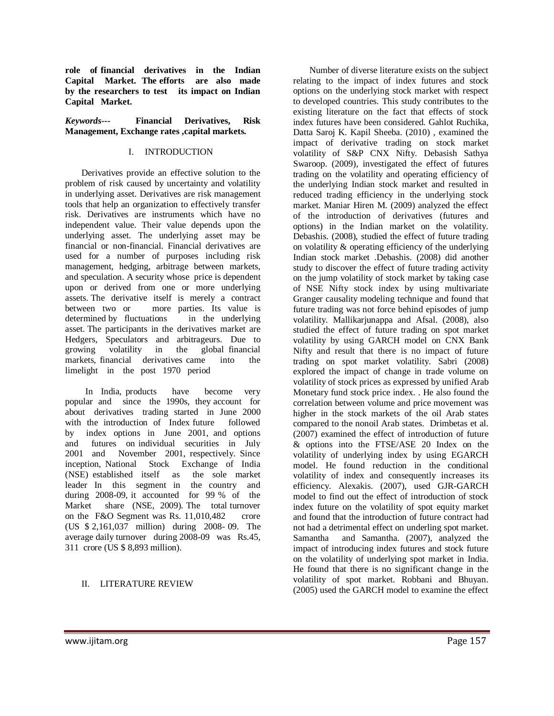**role of financial derivatives in the Indian Capital Market. The efforts are also made by the researchers to test its impact on Indian Capital Market.**

#### *Keywords---* **Financial Derivatives, Risk Management, Exchange rates ,capital markets.**

#### I. INTRODUCTION

Derivatives provide an effective solution to the problem of risk caused by uncertainty and volatility in underlying asset. Derivatives are risk management tools that help an organization to effectively transfer risk. Derivatives are instruments which have no independent value. Their value depends upon the underlying asset. The underlying asset may be financial or non-financial. Financial derivatives are used for a number of purposes including risk management, hedging, arbitrage between markets, and speculation. A security whose price is dependent upon or derived from one or more underlying assets. The derivative itself is merely a contract between two or more parties. Its value is determined by fluctuations in the underlying asset. The participants in the derivatives market are Hedgers, Speculators and arbitrageurs. Due to growing volatility in the global financial markets, financial derivatives came into the limelight in the post 1970 period

 In India, products have become very popular and since the 1990s, they account for about derivatives trading started in June 2000 with the introduction of Index future followed by index options in June 2001, and options and futures on individual securities in July 2001 and November 2001, respectively. Since inception, National Stock Exchange of India (NSE) established itself as the sole market leader In this segment in the country and during 2008-09, it accounted for 99 % of the Market share (NSE, 2009). The total turnover on the F&O Segment was Rs. 11,010,482 crore (US \$ 2,161,037 million) during 2008- 09. The average daily turnover during 2008-09 was Rs.45, 311 crore (US \$ 8,893 million).

#### II. LITERATURE REVIEW

Number of diverse literature exists on the subject relating to the impact of index futures and stock options on the underlying stock market with respect to developed countries. This study contributes to the existing literature on the fact that effects of stock index futures have been considered. Gahlot Ruchika, Datta Saroj K. Kapil Sheeba. (2010) , examined the impact of derivative trading on stock market volatility of S&P CNX Nifty. Debasish Sathya Swaroop. (2009), investigated the effect of futures trading on the volatility and operating efficiency of the underlying Indian stock market and resulted in reduced trading efficiency in the underlying stock market. Maniar Hiren M. (2009) analyzed the effect of the introduction of derivatives (futures and options) in the Indian market on the volatility. Debashis. (2008), studied the effect of future trading on volatility & operating efficiency of the underlying Indian stock market .Debashis. (2008) did another study to discover the effect of future trading activity on the jump volatility of stock market by taking case of NSE Nifty stock index by using multivariate Granger causality modeling technique and found that future trading was not force behind episodes of jump volatility. Mallikarjunappa and Afsal. (2008), also studied the effect of future trading on spot market volatility by using GARCH model on CNX Bank Nifty and result that there is no impact of future trading on spot market volatility. Sabri (2008) explored the impact of change in trade volume on volatility of stock prices as expressed by unified Arab Monetary fund stock price index. . He also found the correlation between volume and price movement was higher in the stock markets of the oil Arab states compared to the nonoil Arab states. Drimbetas et al. (2007) examined the effect of introduction of future & options into the FTSE/ASE 20 Index on the volatility of underlying index by using EGARCH model. He found reduction in the conditional volatility of index and consequently increases its efficiency. Alexakis. (2007), used GJR-GARCH model to find out the effect of introduction of stock index future on the volatility of spot equity market and found that the introduction of future contract had not had a detrimental effect on underling spot market. Samantha and Samantha. (2007), analyzed the impact of introducing index futures and stock future on the volatility of underlying spot market in India. He found that there is no significant change in the volatility of spot market. Robbani and Bhuyan. (2005) used the GARCH model to examine the effect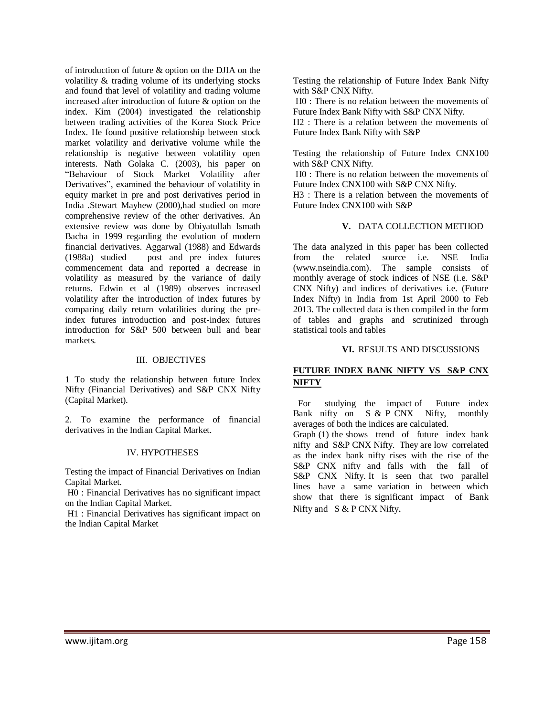of introduction of future & option on the DJIA on the volatility & trading volume of its underlying stocks and found that level of volatility and trading volume increased after introduction of future & option on the index. Kim (2004) investigated the relationship between trading activities of the Korea Stock Price Index. He found positive relationship between stock market volatility and derivative volume while the relationship is negative between volatility open interests. Nath Golaka C. (2003), his paper on "Behaviour of Stock Market Volatility after Derivatives", examined the behaviour of volatility in equity market in pre and post derivatives period in India .Stewart Mayhew (2000),had studied on more comprehensive review of the other derivatives. An extensive review was done by Obiyatullah Ismath Bacha in 1999 regarding the evolution of modern financial derivatives. Aggarwal (1988) and Edwards (1988a) studied post and pre index futures commencement data and reported a decrease in volatility as measured by the variance of daily returns. Edwin et al (1989) observes increased volatility after the introduction of index futures by comparing daily return volatilities during the preindex futures introduction and post-index futures introduction for S&P 500 between bull and bear markets.

#### III. OBJECTIVES

1 To study the relationship between future Index Nifty (Financial Derivatives) and S&P CNX Nifty (Capital Market).

2. To examine the performance of financial derivatives in the Indian Capital Market.

#### IV. HYPOTHESES

Testing the impact of Financial Derivatives on Indian Capital Market.

H0 : Financial Derivatives has no significant impact on the Indian Capital Market.

H1 : Financial Derivatives has significant impact on the Indian Capital Market

Testing the relationship of Future Index Bank Nifty with S&P CNX Nifty.

H0 : There is no relation between the movements of Future Index Bank Nifty with S&P CNX Nifty.

H2 : There is a relation between the movements of Future Index Bank Nifty with S&P

Testing the relationship of Future Index CNX100 with S&P CNX Nifty.

H0 : There is no relation between the movements of Future Index CNX100 with S&P CNX Nifty.

H3 : There is a relation between the movements of Future Index CNX100 with S&P

#### **V.** DATA COLLECTION METHOD

The data analyzed in this paper has been collected from the related source i.e. NSE India (www.nseindia.com). The sample consists of monthly average of stock indices of NSE (i.e. S&P CNX Nifty) and indices of derivatives i.e. (Future Index Nifty) in India from 1st April 2000 to Feb 2013. The collected data is then compiled in the form of tables and graphs and scrutinized through statistical tools and tables

#### **VI.** RESULTS AND DISCUSSIONS

#### **FUTURE INDEX BANK NIFTY VS S&P CNX NIFTY**

 For studying the impact of Future index Bank nifty on S & P CNX Nifty, monthly averages of both the indices are calculated.

Graph (1) the shows trend of future index bank nifty and S&P CNX Nifty. They are low correlated as the index bank nifty rises with the rise of the S&P CNX nifty and falls with the fall of S&P CNX Nifty. It is seen that two parallel lines have a same variation in between which show that there is significant impact of Bank Nifty and S & P CNX Nifty.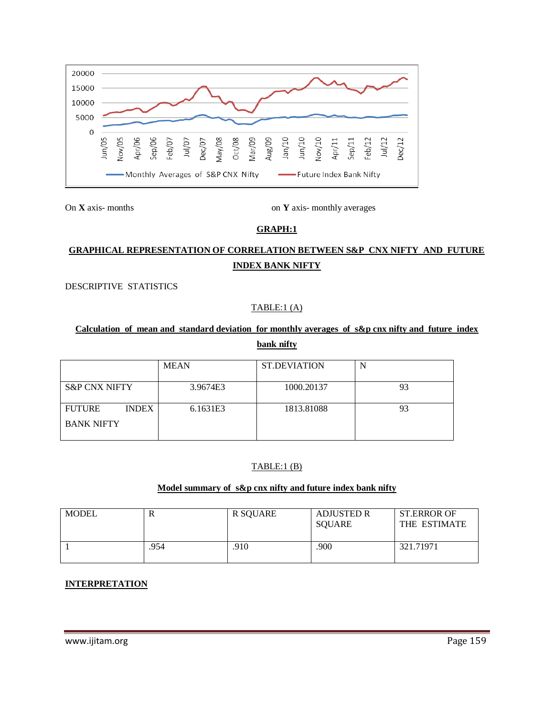

On **X** axis- months on **Y** axis- monthly averages

## **GRAPH:1**

# **GRAPHICAL REPRESENTATION OF CORRELATION BETWEEN S&P CNX NIFTY AND FUTURE INDEX BANK NIFTY**

DESCRIPTIVE STATISTICS

### TABLE:1 (A)

# **Calculation of mean and standard deviation for monthly averages of s&p cnx nifty and future index bank nifty**

|                               | <b>MEAN</b> | <b>ST.DEVIATION</b> | N  |
|-------------------------------|-------------|---------------------|----|
| <b>S&amp;P CNX NIFTY</b>      | 3.9674E3    | 1000.20137          | 93 |
| <b>FUTURE</b><br><b>INDEX</b> | 6.1631E3    | 1813.81088          | 93 |
| <b>BANK NIFTY</b>             |             |                     |    |

## TABLE:1 (B)

### **Model summary of s&p cnx nifty and future index bank nifty**

| <b>MODEL</b> | R    | R SQUARE | <b>ADJUSTED R</b><br>SQUARE | <b>ST.ERROR OF</b><br>THE ESTIMATE |
|--------------|------|----------|-----------------------------|------------------------------------|
|              | .954 | .910     | .900                        | 321.71971                          |

#### **INTERPRETATION**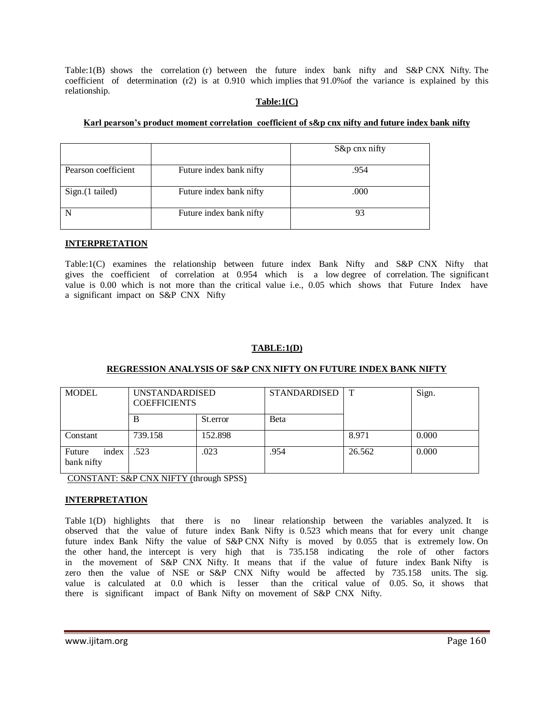Table:1(B) shows the correlation (r) between the future index bank nifty and S&P CNX Nifty. The coefficient of determination (r2) is at 0.910 which implies that 91.0%of the variance is explained by this relationship.

#### **Table:1(C)**

#### **Karl pearson's product moment correlation coefficient of s&p cnx nifty and future index bank nifty**

|                     |                         | S&p cnx nifty |
|---------------------|-------------------------|---------------|
| Pearson coefficient | Future index bank nifty | .954          |
| Sign.(1 tailed)     | Future index bank nifty | .000          |
|                     | Future index bank nifty | 93            |

#### **INTERPRETATION**

Table:1(C) examines the relationship between future index Bank Nifty and S&P CNX Nifty that gives the coefficient of correlation at 0.954 which is a low degree of correlation. The significant value is 0.00 which is not more than the critical value i.e., 0.05 which shows that Future Index have a significant impact on S&P CNX Nifty

#### **TABLE:1(D)**

#### **REGRESSION ANALYSIS OF S&P CNX NIFTY ON FUTURE INDEX BANK NIFTY**

| <b>MODEL</b>                  | <b>UNSTANDARDISED</b><br><b>COEFFICIENTS</b> |          | <b>STANDARDISED</b> | $\mathbf T$ | Sign. |
|-------------------------------|----------------------------------------------|----------|---------------------|-------------|-------|
|                               | В                                            | St.error | <b>B</b> eta        |             |       |
| Constant                      | 739.158                                      | 152.898  |                     | 8.971       | 0.000 |
| index<br>Future<br>bank nifty | .523                                         | .023     | .954                | 26.562      | 0.000 |

CONSTANT: S&P CNX NIFTY (through SPSS)

#### **INTERPRETATION**

Table 1(D) highlights that there is no linear relationship between the variables analyzed. It is observed that the value of future index Bank Nifty is 0.523 which means that for every unit change future index Bank Nifty the value of S&P CNX Nifty is moved by 0.055 that is extremely low. On the other hand, the intercept is very high that is 735.158 indicating the role of other factors in the movement of S&P CNX Nifty. It means that if the value of future index Bank Nifty is zero then the value of NSE or S&P CNX Nifty would be affected by 735.158 units. The sig. value is calculated at 0.0 which is lesser than the critical value of 0.05. So, it shows that there is significant impact of Bank Nifty on movement of S&P CNX Nifty.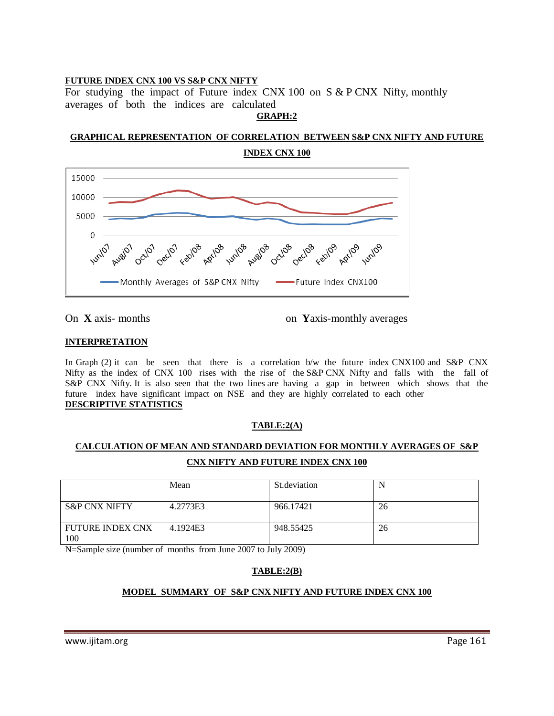#### **FUTURE INDEX CNX 100 VS S&P CNX NIFTY**

For studying the impact of Future index CNX 100 on S & P CNX Nifty, monthly averages of both the indices are calculated **GRAPH:2**

**GRAPHICAL REPRESENTATION OF CORRELATION BETWEEN S&P CNX NIFTY AND FUTURE INDEX CNX 100**



On **X** axis- months on **Y**axis-monthly averages

#### **INTERPRETATION**

In Graph (2) it can be seen that there is a correlation b/w the future index CNX100 and S&P CNX Nifty as the index of CNX 100 rises with the rise of the S&P CNX Nifty and falls with the fall of S&P CNX Nifty. It is also seen that the two lines are having a gap in between which shows that the future index have significant impact on NSE and they are highly correlated to each other **DESCRIPTIVE STATISTICS**

#### **TABLE:2(A)**

# **CALCULATION OF MEAN AND STANDARD DEVIATION FOR MONTHLY AVERAGES OF S&P CNX NIFTY AND FUTURE INDEX CNX 100**

|                                | Mean     | St. deviation |    |
|--------------------------------|----------|---------------|----|
| <b>S&amp;P CNX NIFTY</b>       | 4.2773E3 | 966.17421     | 26 |
| <b>FUTURE INDEX CNX</b><br>100 | 4.1924E3 | 948.55425     | 26 |

N=Sample size (number of months from June 2007 to July 2009)

## **TABLE:2(B)**

#### **MODEL SUMMARY OF S&P CNX NIFTY AND FUTURE INDEX CNX 100**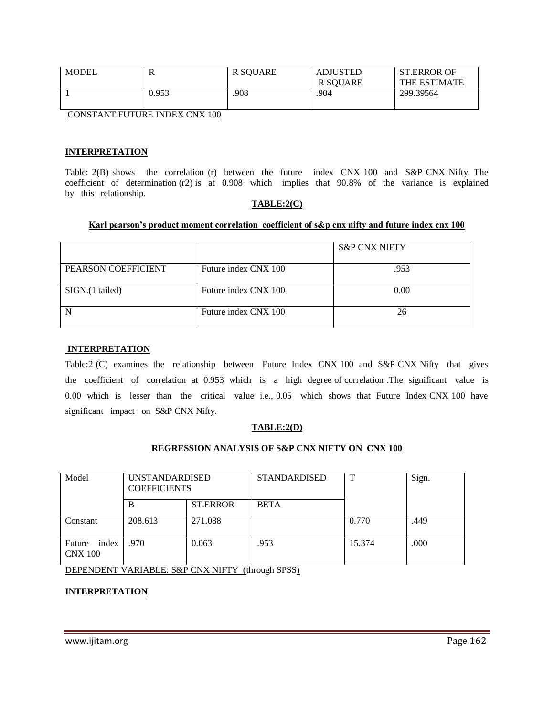| MODEL | R     | R SQUARE | <b>ADJUSTED</b><br>R SOUARE | <b>ST.ERROR OF</b><br>THE ESTIMATE |
|-------|-------|----------|-----------------------------|------------------------------------|
|       | 0.953 | .908     | .904                        | 299.39564                          |

CONSTANT:FUTURE INDEX CNX 100

#### **INTERPRETATION**

Table: 2(B) shows the correlation (r) between the future index CNX 100 and S&P CNX Nifty. The coefficient of determination (r2) is at 0.908 which implies that 90.8% of the variance is explained by this relationship.

#### **TABLE:2(C)**

#### **Karl pearson's product moment correlation coefficient of s&p cnx nifty and future index cnx 100**

|                     |                      | <b>S&amp;P CNX NIFTY</b> |
|---------------------|----------------------|--------------------------|
| PEARSON COEFFICIENT | Future index CNX 100 | .953                     |
| SIGN.(1 tailed)     | Future index CNX 100 | 0.00                     |
|                     | Future index CNX 100 | 26                       |

#### **INTERPRETATION**

Table:2 (C) examines the relationship between Future Index CNX 100 and S&P CNX Nifty that gives the coefficient of correlation at 0.953 which is a high degree of correlation .The significant value is 0.00 which is lesser than the critical value i.e., 0.05 which shows that Future Index CNX 100 have significant impact on S&P CNX Nifty.

#### **TABLE:2(D)**

#### **REGRESSION ANALYSIS OF S&P CNX NIFTY ON CNX 100**

| Model                             | <b>UNSTANDARDISED</b><br><b>COEFFICIENTS</b> |                 | <b>STANDARDISED</b> | T      | Sign. |
|-----------------------------------|----------------------------------------------|-----------------|---------------------|--------|-------|
|                                   | B                                            | <b>ST.ERROR</b> | <b>BETA</b>         |        |       |
| Constant                          | 208.613                                      | 271.088         |                     | 0.770  | .449  |
| index<br>Future<br><b>CNX 100</b> | .970                                         | 0.063           | .953                | 15.374 | .000  |

DEPENDENT VARIABLE: S&P CNX NIFTY (through SPSS)

#### **INTERPRETATION**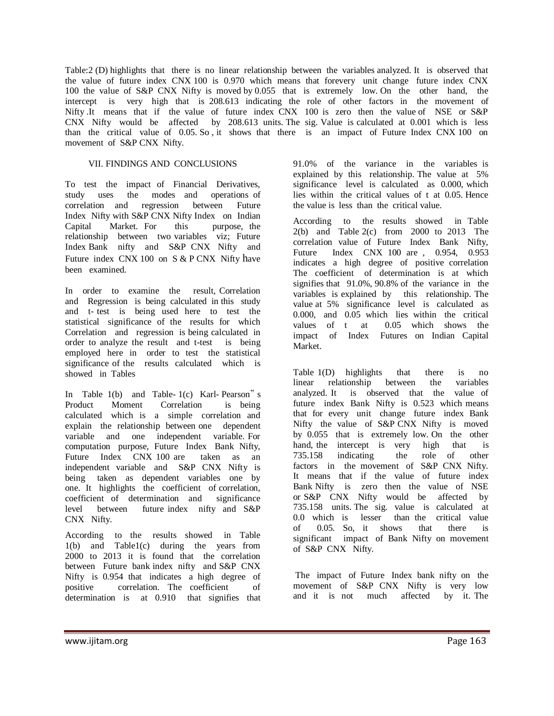Table:2 (D) highlights that there is no linear relationship between the variables analyzed. It is observed that the value of future index CNX 100 is 0.970 which means that forevery unit change future index CNX 100 the value of S&P CNX Nifty is moved by 0.055 that is extremely low. On the other hand, the intercept is very high that is 208.613 indicating the role of other factors in the movement of Nifty It means that if the value of future index CNX 100 is zero then the value of NSE or S&P CNX Nifty would be affected by 208.613 units. The sig. Value is calculated at 0.001 which is less than the critical value of 0.05. So , it shows that there is an impact of Future Index CNX 100 on movement of S&P CNX Nifty.

#### VII. FINDINGS AND CONCLUSIONS

To test the impact of Financial Derivatives, study uses the modes and operations of correlation and regression between Future Index Nifty with S&P CNX Nifty Index on Indian Capital Market. For this purpose, the relationship between two variables viz; Future Index Bank nifty and S&P CNX Nifty and Future index CNX 100 on S & P CNX Nifty have been examined.

In order to examine the result, Correlation and Regression is being calculated in this study and t- test is being used here to test the statistical significance of the results for which Correlation and regression is being calculated in order to analyze the result and t-test is being employed here in order to test the statistical significance of the results calculated which is showed in Tables

In Table 1(b) and Table- 1(c) Karl- Pearson" s Product Moment Correlation is being calculated which is a simple correlation and explain the relationship between one dependent variable and one independent variable. For computation purpose, Future Index Bank Nifty, Future Index CNX 100 are taken as an independent variable and S&P CNX Nifty is being taken as dependent variables one by one. It highlights the coefficient of correlation, coefficient of determination and significance level between future index nifty and S&P CNX Nifty.

According to the results showed in Table 1(b) and Table1(c) during the years from 2000 to 2013 it is found that the correlation between Future bank index nifty and S&P CNX Nifty is 0.954 that indicates a high degree of positive correlation. The coefficient of determination is at 0.910 that signifies that

91.0% of the variance in the variables is explained by this relationship. The value at 5% significance level is calculated as 0.000, which lies within the critical values of t at 0.05. Hence the value is less than the critical value.

According to the results showed in Table 2(b) and Table 2(c) from 2000 to 2013 The correlation value of Future Index Bank Nifty, Future Index CNX 100 are , 0.954, 0.953 indicates a high degree of positive correlation The coefficient of determination is at which signifies that 91.0%, 90.8% of the variance in the variables is explained by this relationship. The value at 5% significance level is calculated as 0.000, and 0.05 which lies within the critical values of t at 0.05 which shows the impact of Index Futures on Indian Capital Market.

Table 1(D) highlights that there is no<br>linear relationship between the variables relationship analyzed. It is observed that the value of future index Bank Nifty is 0.523 which means that for every unit change future index Bank Nifty the value of S&P CNX Nifty is moved by 0.055 that is extremely low. On the other hand, the intercept is very high that is 735.158 indicating the role of other factors in the movement of S&P CNX Nifty. It means that if the value of future index Bank Nifty is zero then the value of NSE or S&P CNX Nifty would be affected by 735.158 units. The sig. value is calculated at 0.0 which is lesser than the critical value of 0.05. So, it shows that there is significant impact of Bank Nifty on movement of S&P CNX Nifty.

The impact of Future Index bank nifty on the movement of S&P CNX Nifty is very low and it is not much affected by it. The